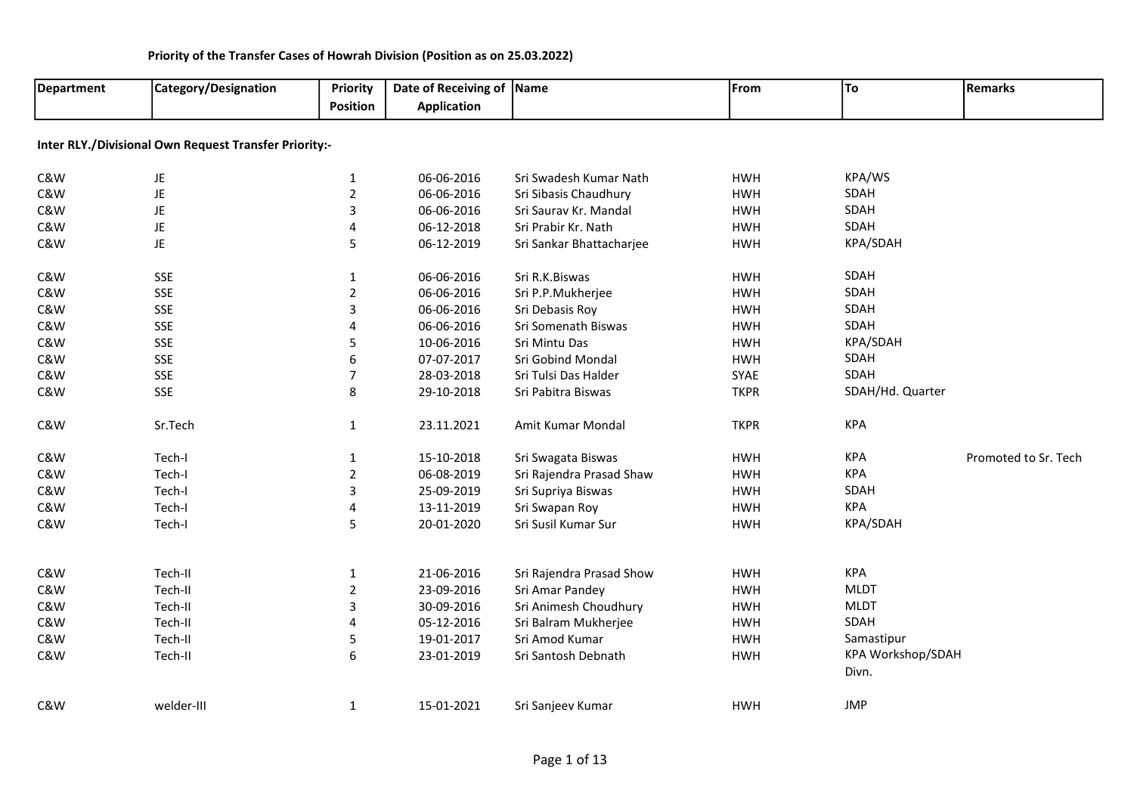| Department | Category/Designation                                  | Priority<br><b>Position</b> | Date of Receiving of Name<br><b>Application</b> |                          | From        | To                | <b>Remarks</b>       |
|------------|-------------------------------------------------------|-----------------------------|-------------------------------------------------|--------------------------|-------------|-------------------|----------------------|
|            | Inter RLY./Divisional Own Request Transfer Priority:- |                             |                                                 |                          |             |                   |                      |
| C&W        | JE                                                    | $\mathbf{1}$                | 06-06-2016                                      | Sri Swadesh Kumar Nath   | <b>HWH</b>  | KPA/WS            |                      |
| C&W        | JE                                                    | $\overline{2}$              | 06-06-2016                                      | Sri Sibasis Chaudhury    | <b>HWH</b>  | SDAH              |                      |
| C&W        | JE                                                    | 3                           | 06-06-2016                                      | Sri Saurav Kr. Mandal    | <b>HWH</b>  | SDAH              |                      |
| C&W        | JE                                                    | 4                           | 06-12-2018                                      | Sri Prabir Kr. Nath      | <b>HWH</b>  | SDAH              |                      |
| C&W        | <b>JE</b>                                             | 5                           | 06-12-2019                                      | Sri Sankar Bhattacharjee | <b>HWH</b>  | KPA/SDAH          |                      |
| C&W        | <b>SSE</b>                                            | $\mathbf{1}$                | 06-06-2016                                      | Sri R.K.Biswas           | <b>HWH</b>  | SDAH              |                      |
| C&W        | <b>SSE</b>                                            | $\overline{2}$              | 06-06-2016                                      | Sri P.P.Mukherjee        | <b>HWH</b>  | SDAH              |                      |
| C&W        | <b>SSE</b>                                            | 3                           | 06-06-2016                                      | Sri Debasis Roy          | <b>HWH</b>  | SDAH              |                      |
| C&W        | <b>SSE</b>                                            | 4                           | 06-06-2016                                      | Sri Somenath Biswas      | <b>HWH</b>  | SDAH              |                      |
| C&W        | <b>SSE</b>                                            | 5                           | 10-06-2016                                      | Sri Mintu Das            | <b>HWH</b>  | KPA/SDAH          |                      |
| C&W        | <b>SSE</b>                                            | 6                           | 07-07-2017                                      | Sri Gobind Mondal        | <b>HWH</b>  | SDAH              |                      |
| C&W        | <b>SSE</b>                                            | 7                           | 28-03-2018                                      | Sri Tulsi Das Halder     | SYAE        | SDAH              |                      |
| C&W        | <b>SSE</b>                                            | 8                           | 29-10-2018                                      | Sri Pabitra Biswas       | <b>TKPR</b> | SDAH/Hd. Quarter  |                      |
| C&W        | Sr.Tech                                               | 1                           | 23.11.2021                                      | Amit Kumar Mondal        | <b>TKPR</b> | <b>KPA</b>        |                      |
| C&W        | Tech-I                                                | $\mathbf 1$                 | 15-10-2018                                      | Sri Swagata Biswas       | <b>HWH</b>  | <b>KPA</b>        | Promoted to Sr. Tech |
| C&W        | Tech-I                                                | $\overline{2}$              | 06-08-2019                                      | Sri Rajendra Prasad Shaw | <b>HWH</b>  | <b>KPA</b>        |                      |
| C&W        | Tech-I                                                | 3                           | 25-09-2019                                      | Sri Supriya Biswas       | <b>HWH</b>  | SDAH              |                      |
| C&W        | Tech-I                                                | 4                           | 13-11-2019                                      | Sri Swapan Roy           | <b>HWH</b>  | <b>KPA</b>        |                      |
| C&W        | Tech-I                                                | 5                           | 20-01-2020                                      | Sri Susil Kumar Sur      | <b>HWH</b>  | KPA/SDAH          |                      |
| C&W        | Tech-II                                               | $\mathbf{1}$                | 21-06-2016                                      | Sri Rajendra Prasad Show | <b>HWH</b>  | <b>KPA</b>        |                      |
| C&W        | Tech-II                                               | $\overline{2}$              | 23-09-2016                                      | Sri Amar Pandey          | <b>HWH</b>  | <b>MLDT</b>       |                      |
| C&W        | Tech-II                                               | 3                           | 30-09-2016                                      | Sri Animesh Choudhury    | <b>HWH</b>  | <b>MLDT</b>       |                      |
| C&W        | Tech-II                                               | 4                           | 05-12-2016                                      | Sri Balram Mukherjee     | <b>HWH</b>  | SDAH              |                      |
| C&W        | Tech-II                                               | 5                           | 19-01-2017                                      | Sri Amod Kumar           | <b>HWH</b>  | Samastipur        |                      |
| C&W        | Tech-II                                               | 6                           | 23-01-2019                                      | Sri Santosh Debnath      | <b>HWH</b>  | KPA Workshop/SDAH |                      |
|            |                                                       |                             |                                                 |                          |             | Divn.             |                      |
| C&W        | welder-III                                            | $\mathbf{1}$                | 15-01-2021                                      | Sri Sanjeev Kumar        | <b>HWH</b>  | <b>JMP</b>        |                      |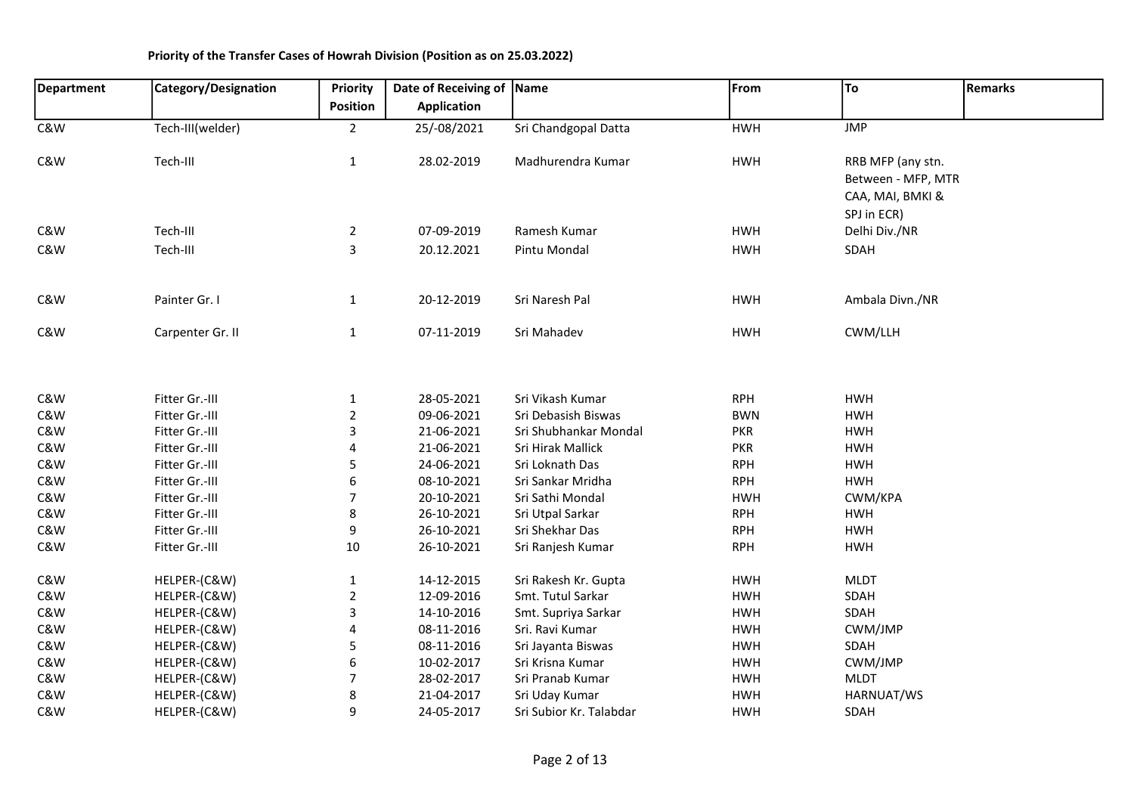| <b>Department</b> | Category/Designation | Priority       | Date of Receiving of Name |                         | From       | To                 | <b>Remarks</b> |
|-------------------|----------------------|----------------|---------------------------|-------------------------|------------|--------------------|----------------|
|                   |                      | Position       | <b>Application</b>        |                         |            |                    |                |
| C&W               | Tech-III(welder)     | $\overline{2}$ | 25/-08/2021               | Sri Chandgopal Datta    | <b>HWH</b> | <b>JMP</b>         |                |
|                   |                      |                |                           |                         |            |                    |                |
| C&W               | Tech-III             | $\mathbf{1}$   | 28.02-2019                | Madhurendra Kumar       | <b>HWH</b> | RRB MFP (any stn.  |                |
|                   |                      |                |                           |                         |            | Between - MFP, MTR |                |
|                   |                      |                |                           |                         |            | CAA, MAI, BMKI &   |                |
|                   |                      |                |                           |                         |            | SPJ in ECR)        |                |
| C&W               | Tech-III             | $\overline{2}$ | 07-09-2019                | Ramesh Kumar            | <b>HWH</b> | Delhi Div./NR      |                |
| C&W               | Tech-III             | 3              | 20.12.2021                | Pintu Mondal            | <b>HWH</b> | SDAH               |                |
|                   |                      |                |                           |                         |            |                    |                |
| C&W               | Painter Gr. I        | $\mathbf{1}$   | 20-12-2019                | Sri Naresh Pal          | <b>HWH</b> | Ambala Divn./NR    |                |
|                   |                      |                |                           |                         |            |                    |                |
| C&W               | Carpenter Gr. II     | $\mathbf{1}$   | 07-11-2019                | Sri Mahadev             | <b>HWH</b> | CWM/LLH            |                |
|                   |                      |                |                           |                         |            |                    |                |
| C&W               | Fitter Gr.-III       | $\mathbf{1}$   | 28-05-2021                | Sri Vikash Kumar        | <b>RPH</b> | <b>HWH</b>         |                |
| C&W               | Fitter Gr.-III       | $\mathbf 2$    | 09-06-2021                | Sri Debasish Biswas     | <b>BWN</b> | <b>HWH</b>         |                |
| C&W               | Fitter Gr.-III       | 3              | 21-06-2021                | Sri Shubhankar Mondal   | <b>PKR</b> | <b>HWH</b>         |                |
| C&W               | Fitter Gr.-III       | 4              | 21-06-2021                | Sri Hirak Mallick       | <b>PKR</b> | <b>HWH</b>         |                |
| C&W               | Fitter Gr.-III       | 5              | 24-06-2021                | Sri Loknath Das         | <b>RPH</b> | <b>HWH</b>         |                |
| C&W               | Fitter Gr.-III       | 6              | 08-10-2021                | Sri Sankar Mridha       | <b>RPH</b> | <b>HWH</b>         |                |
| C&W               | Fitter Gr.-III       | 7              | 20-10-2021                | Sri Sathi Mondal        | <b>HWH</b> | CWM/KPA            |                |
| C&W               | Fitter Gr.-III       | 8              | 26-10-2021                | Sri Utpal Sarkar        | <b>RPH</b> | <b>HWH</b>         |                |
| C&W               | Fitter Gr.-III       | 9              | 26-10-2021                | Sri Shekhar Das         | <b>RPH</b> | <b>HWH</b>         |                |
| C&W               | Fitter Gr.-III       | 10             | 26-10-2021                | Sri Ranjesh Kumar       | <b>RPH</b> | <b>HWH</b>         |                |
| C&W               | HELPER-(C&W)         | $\mathbf 1$    | 14-12-2015                | Sri Rakesh Kr. Gupta    | <b>HWH</b> | <b>MLDT</b>        |                |
| C&W               | HELPER-(C&W)         | $\overline{2}$ | 12-09-2016                | Smt. Tutul Sarkar       | <b>HWH</b> | SDAH               |                |
| C&W               | HELPER-(C&W)         | 3              | 14-10-2016                | Smt. Supriya Sarkar     | <b>HWH</b> | SDAH               |                |
| C&W               | HELPER-(C&W)         | 4              | 08-11-2016                | Sri. Ravi Kumar         | <b>HWH</b> | CWM/JMP            |                |
| C&W               | HELPER-(C&W)         | 5              | 08-11-2016                | Sri Jayanta Biswas      | <b>HWH</b> | SDAH               |                |
| C&W               | HELPER-(C&W)         | 6              | 10-02-2017                | Sri Krisna Kumar        | <b>HWH</b> | CWM/JMP            |                |
| C&W               | HELPER-(C&W)         | 7              | 28-02-2017                | Sri Pranab Kumar        | <b>HWH</b> | <b>MLDT</b>        |                |
| C&W               | HELPER-(C&W)         | 8              | 21-04-2017                | Sri Uday Kumar          | <b>HWH</b> | HARNUAT/WS         |                |
| C&W               | HELPER-(C&W)         | 9              | 24-05-2017                | Sri Subior Kr. Talabdar | <b>HWH</b> | SDAH               |                |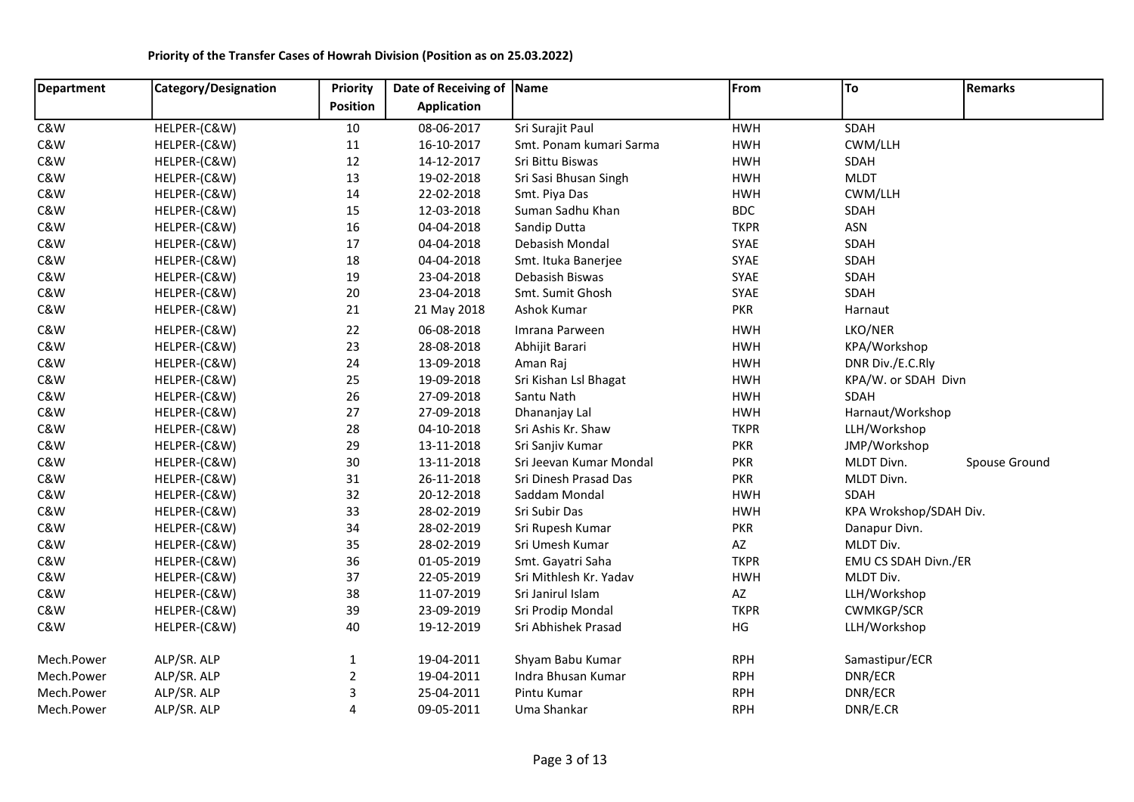#### Department | Category/Designation | Priority Position Date of Receiving of Application Name **From** To Remarks C&W HELPER-(C&W) 10 08-06-2017 Sri Surajit Paul HWH SDAH C&W HELPER-(C&W) 11 16-10-2017 Smt. Ponam kumari Sarma HWH CWM/LLH C&W HELPER-(C&W) 12 14-12-2017 Sri Bittu Biswas HWH SDAH C&W HELPER-(C&W) 13 19-02-2018 Sri Sasi Bhusan Singh HWH MLDT C&W HELPER-(C&W) 14 22-02-2018 Smt. Piya Das HWH CWM/LLH C&W HELPER-(C&W) 15 12-03-2018 Suman Sadhu Khan BDC SDAH C&W HELPER-(C&W) 16 04-04-2018 Sandip Dutta TKPR ASN C&W HELPER-(C&W) 17 04-04-2018 Debasish Mondal SYAE SDAH C&W HELPER-(C&W) 18 04-04-2018 Smt. Ituka Banerjee SYAE SDAH C&W HELPER-(C&W) 19 23-04-2018 Debasish Biswas SYAE SDAH C&W HELPER-(C&W) 20 23-04-2018 Smt. Sumit Ghosh SYAE SDAH C&W HELPER-(C&W) 21 21 May 2018 Ashok Kumar PKR PKR Harnaut C&W HELPER-(C&W) 22 06-08-2018 Imrana Parween HWH LKO/NER C&W HELPER-(C&W) 23 28-08-2018 Abhijit Barari HWH KPA/Workshop C&W HELPER-(C&W) 24 13-09-2018 Aman Raj HWH DNR Div./E.C.Rly C&W HELPER-(C&W) 25 19-09-2018 Sri Kishan Lsl Bhagat HWH KPA/W. or SDAH Divn C&W HELPER-(C&W) 26 27-09-2018 Santu Nath HWH SDAH C&W HELPER-(C&W) 27 27-09-2018 Dhananjay Lal HWH Harnaut/Workshop C&W HELPER-(C&W) 28 04-10-2018 Sri Ashis Kr. Shaw TKPR LLH/Workshop C&W HELPER-(C&W) 29 13-11-2018 Sri Sanjiv Kumar PKR JMP/Workshop C&W HELPER-(C&W) 30 13-11-2018 Sri Jeevan Kumar Mondal PKR MLDT Divn. Spouse Ground C&W HELPER-(C&W) 31 26-11-2018 Sri Dinesh Prasad Das PKR MLDT Divn. C&W HELPER-(C&W) 32 20-12-2018 Saddam Mondal HWH SDAH C&W HELPER-(C&W) 33 28-02-2019 Sri Subir Das HWH KPA Wrokshop/SDAH Div. C&W HELPER-(C&W) 34 28-02-2019 Sri Rupesh Kumar PKR Danapur Divn. C&W HELPER-(C&W) 35 28-02-2019 Sri Umesh Kumar AZ MLDT Div. C&W HELPER-(C&W) 36 01-05-2019 Smt. Gayatri Saha TKPR EMU CS SDAH Divn./ER C&W HELPER-(C&W) 37 22-05-2019 Sri Mithlesh Kr. Yadav HWH MLDT Div. C&W HELPER-(C&W) 38 11-07-2019 Sri Janirul Islam AZ LLH/Workshop C&W HELPER-(C&W) 39 23-09-2019 Sri Prodip Mondal TKPR CWMKGP/SCR C&W HELPER-(C&W) 40 19-12-2019 Sri Abhishek Prasad HG LLH/Workshop Mech.Power ALP/SR. ALP 19-04-2011 Shyam Babu Kumar RPH Samastipur/ECR Mech.Power ALP/SR. ALP 2 19-04-2011 Indra Bhusan Kumar RPH DNR/ECR Mech.Power ALP/SR. ALP 3 25-04-2011 Pintu Kumar RPH RPH DNR/ECR Mech.Power ALP/SR. ALP 1992 4 09-05-2011 Uma Shankar 1997 RPH DNR/E.CR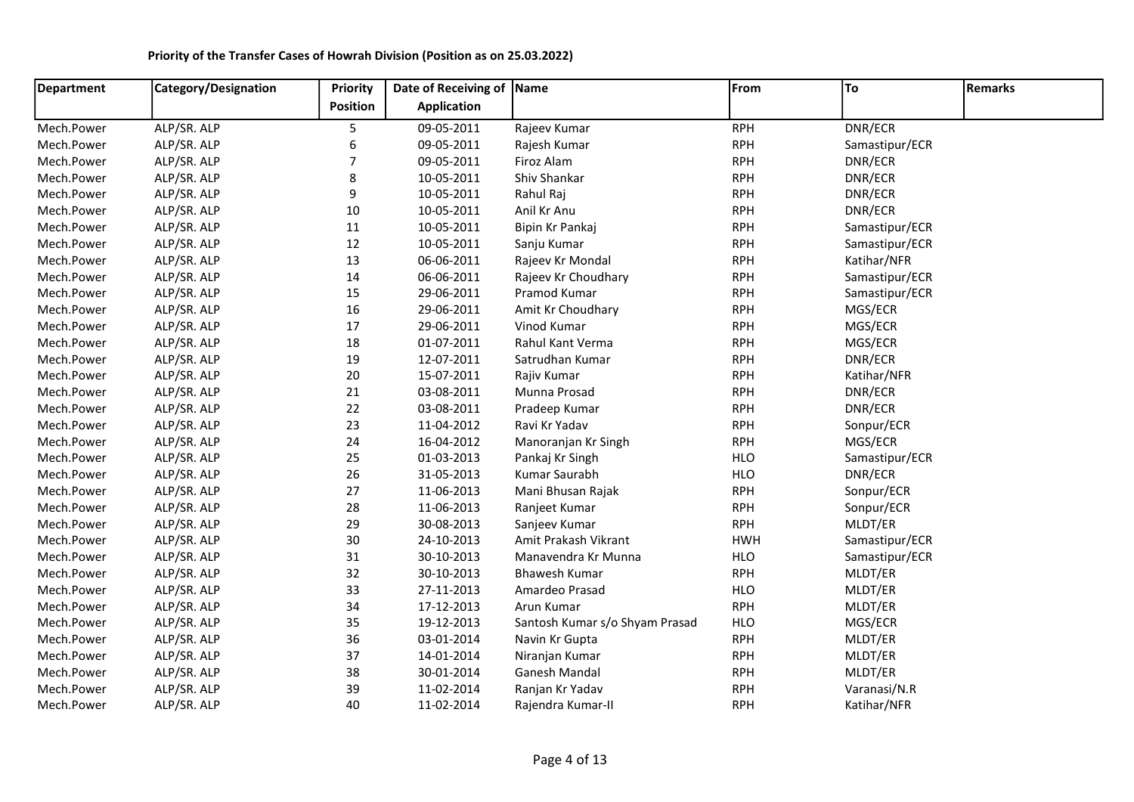| Department | Category/Designation | Priority         | Date of Receiving of Name |                                | From       | To             | Remarks |
|------------|----------------------|------------------|---------------------------|--------------------------------|------------|----------------|---------|
|            |                      | Position         | <b>Application</b>        |                                |            |                |         |
| Mech.Power | ALP/SR. ALP          | 5                | 09-05-2011                | Rajeev Kumar                   | <b>RPH</b> | DNR/ECR        |         |
| Mech.Power | ALP/SR. ALP          | 6                | 09-05-2011                | Rajesh Kumar                   | <b>RPH</b> | Samastipur/ECR |         |
| Mech.Power | ALP/SR. ALP          | $\boldsymbol{7}$ | 09-05-2011                | Firoz Alam                     | <b>RPH</b> | DNR/ECR        |         |
| Mech.Power | ALP/SR. ALP          | 8                | 10-05-2011                | Shiv Shankar                   | <b>RPH</b> | DNR/ECR        |         |
| Mech.Power | ALP/SR. ALP          | 9                | 10-05-2011                | Rahul Raj                      | <b>RPH</b> | DNR/ECR        |         |
| Mech.Power | ALP/SR. ALP          | $10\,$           | 10-05-2011                | Anil Kr Anu                    | <b>RPH</b> | DNR/ECR        |         |
| Mech.Power | ALP/SR. ALP          | 11               | 10-05-2011                | Bipin Kr Pankaj                | <b>RPH</b> | Samastipur/ECR |         |
| Mech.Power | ALP/SR. ALP          | 12               | 10-05-2011                | Sanju Kumar                    | <b>RPH</b> | Samastipur/ECR |         |
| Mech.Power | ALP/SR. ALP          | 13               | 06-06-2011                | Rajeev Kr Mondal               | <b>RPH</b> | Katihar/NFR    |         |
| Mech.Power | ALP/SR. ALP          | 14               | 06-06-2011                | Rajeev Kr Choudhary            | <b>RPH</b> | Samastipur/ECR |         |
| Mech.Power | ALP/SR. ALP          | 15               | 29-06-2011                | Pramod Kumar                   | <b>RPH</b> | Samastipur/ECR |         |
| Mech.Power | ALP/SR. ALP          | 16               | 29-06-2011                | Amit Kr Choudhary              | <b>RPH</b> | MGS/ECR        |         |
| Mech.Power | ALP/SR. ALP          | 17               | 29-06-2011                | Vinod Kumar                    | <b>RPH</b> | MGS/ECR        |         |
| Mech.Power | ALP/SR. ALP          | 18               | 01-07-2011                | Rahul Kant Verma               | <b>RPH</b> | MGS/ECR        |         |
| Mech.Power | ALP/SR. ALP          | 19               | 12-07-2011                | Satrudhan Kumar                | <b>RPH</b> | DNR/ECR        |         |
| Mech.Power | ALP/SR. ALP          | 20               | 15-07-2011                | Rajiv Kumar                    | <b>RPH</b> | Katihar/NFR    |         |
| Mech.Power | ALP/SR. ALP          | 21               | 03-08-2011                | Munna Prosad                   | <b>RPH</b> | DNR/ECR        |         |
| Mech.Power | ALP/SR. ALP          | $22\,$           | 03-08-2011                | Pradeep Kumar                  | <b>RPH</b> | DNR/ECR        |         |
| Mech.Power | ALP/SR. ALP          | 23               | 11-04-2012                | Ravi Kr Yadav                  | <b>RPH</b> | Sonpur/ECR     |         |
| Mech.Power | ALP/SR. ALP          | 24               | 16-04-2012                | Manoranjan Kr Singh            | <b>RPH</b> | MGS/ECR        |         |
| Mech.Power | ALP/SR. ALP          | 25               | 01-03-2013                | Pankaj Kr Singh                | <b>HLO</b> | Samastipur/ECR |         |
| Mech.Power | ALP/SR. ALP          | 26               | 31-05-2013                | Kumar Saurabh                  | <b>HLO</b> | DNR/ECR        |         |
| Mech.Power | ALP/SR. ALP          | 27               | 11-06-2013                | Mani Bhusan Rajak              | <b>RPH</b> | Sonpur/ECR     |         |
| Mech.Power | ALP/SR. ALP          | 28               | 11-06-2013                | Ranjeet Kumar                  | <b>RPH</b> | Sonpur/ECR     |         |
| Mech.Power | ALP/SR. ALP          | 29               | 30-08-2013                | Sanjeev Kumar                  | <b>RPH</b> | MLDT/ER        |         |
| Mech.Power | ALP/SR. ALP          | 30               | 24-10-2013                | Amit Prakash Vikrant           | <b>HWH</b> | Samastipur/ECR |         |
| Mech.Power | ALP/SR. ALP          | 31               | 30-10-2013                | Manavendra Kr Munna            | <b>HLO</b> | Samastipur/ECR |         |
| Mech.Power | ALP/SR. ALP          | 32               | 30-10-2013                | <b>Bhawesh Kumar</b>           | <b>RPH</b> | MLDT/ER        |         |
| Mech.Power | ALP/SR. ALP          | 33               | 27-11-2013                | Amardeo Prasad                 | <b>HLO</b> | MLDT/ER        |         |
| Mech.Power | ALP/SR. ALP          | 34               | 17-12-2013                | Arun Kumar                     | <b>RPH</b> | MLDT/ER        |         |
| Mech.Power | ALP/SR. ALP          | 35               | 19-12-2013                | Santosh Kumar s/o Shyam Prasad | <b>HLO</b> | MGS/ECR        |         |
| Mech.Power | ALP/SR. ALP          | 36               | 03-01-2014                | Navin Kr Gupta                 | <b>RPH</b> | MLDT/ER        |         |
| Mech.Power | ALP/SR. ALP          | 37               | 14-01-2014                | Niranjan Kumar                 | <b>RPH</b> | MLDT/ER        |         |
| Mech.Power | ALP/SR. ALP          | 38               | 30-01-2014                | Ganesh Mandal                  | <b>RPH</b> | MLDT/ER        |         |
| Mech.Power | ALP/SR. ALP          | 39               | 11-02-2014                | Ranjan Kr Yadav                | <b>RPH</b> | Varanasi/N.R   |         |
| Mech.Power | ALP/SR. ALP          | 40               | 11-02-2014                | Rajendra Kumar-II              | <b>RPH</b> | Katihar/NFR    |         |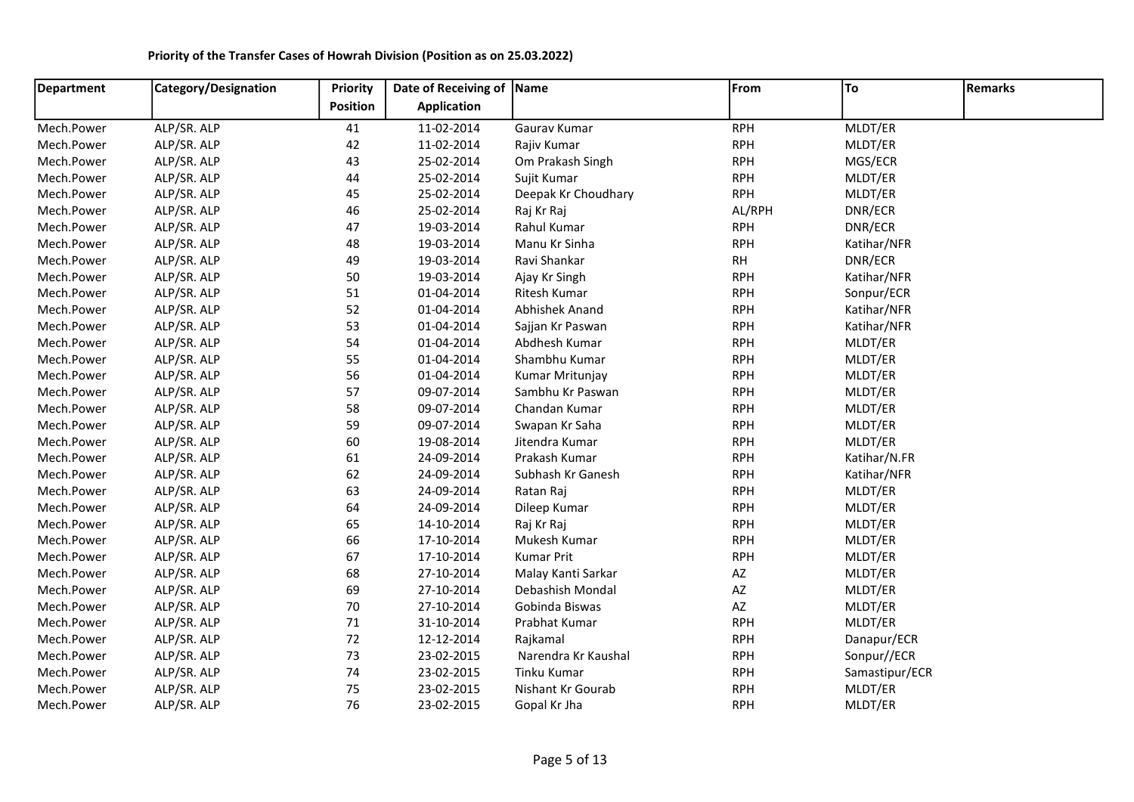| <b>Department</b> | Category/Designation | Priority        | Date of Receiving of Name |                     | From       | To             | <b>Remarks</b> |
|-------------------|----------------------|-----------------|---------------------------|---------------------|------------|----------------|----------------|
|                   |                      | <b>Position</b> | <b>Application</b>        |                     |            |                |                |
| Mech.Power        | ALP/SR. ALP          | 41              | 11-02-2014                | Gaurav Kumar        | <b>RPH</b> | MLDT/ER        |                |
| Mech.Power        | ALP/SR. ALP          | 42              | 11-02-2014                | Rajiv Kumar         | <b>RPH</b> | MLDT/ER        |                |
| Mech.Power        | ALP/SR. ALP          | 43              | 25-02-2014                | Om Prakash Singh    | <b>RPH</b> | MGS/ECR        |                |
| Mech.Power        | ALP/SR. ALP          | 44              | 25-02-2014                | Sujit Kumar         | <b>RPH</b> | MLDT/ER        |                |
| Mech.Power        | ALP/SR. ALP          | 45              | 25-02-2014                | Deepak Kr Choudhary | <b>RPH</b> | MLDT/ER        |                |
| Mech.Power        | ALP/SR. ALP          | 46              | 25-02-2014                | Raj Kr Raj          | AL/RPH     | DNR/ECR        |                |
| Mech.Power        | ALP/SR. ALP          | 47              | 19-03-2014                | Rahul Kumar         | <b>RPH</b> | DNR/ECR        |                |
| Mech.Power        | ALP/SR. ALP          | 48              | 19-03-2014                | Manu Kr Sinha       | <b>RPH</b> | Katihar/NFR    |                |
| Mech.Power        | ALP/SR. ALP          | 49              | 19-03-2014                | Ravi Shankar        | RH         | DNR/ECR        |                |
| Mech.Power        | ALP/SR. ALP          | 50              | 19-03-2014                | Ajay Kr Singh       | <b>RPH</b> | Katihar/NFR    |                |
| Mech.Power        | ALP/SR. ALP          | 51              | 01-04-2014                | Ritesh Kumar        | <b>RPH</b> | Sonpur/ECR     |                |
| Mech.Power        | ALP/SR. ALP          | 52              | 01-04-2014                | Abhishek Anand      | <b>RPH</b> | Katihar/NFR    |                |
| Mech.Power        | ALP/SR. ALP          | 53              | 01-04-2014                | Sajjan Kr Paswan    | <b>RPH</b> | Katihar/NFR    |                |
| Mech.Power        | ALP/SR. ALP          | 54              | 01-04-2014                | Abdhesh Kumar       | <b>RPH</b> | MLDT/ER        |                |
| Mech.Power        | ALP/SR. ALP          | 55              | 01-04-2014                | Shambhu Kumar       | <b>RPH</b> | MLDT/ER        |                |
| Mech.Power        | ALP/SR. ALP          | 56              | 01-04-2014                | Kumar Mritunjay     | <b>RPH</b> | MLDT/ER        |                |
| Mech.Power        | ALP/SR. ALP          | 57              | 09-07-2014                | Sambhu Kr Paswan    | <b>RPH</b> | MLDT/ER        |                |
| Mech.Power        | ALP/SR. ALP          | 58              | 09-07-2014                | Chandan Kumar       | <b>RPH</b> | MLDT/ER        |                |
| Mech.Power        | ALP/SR. ALP          | 59              | 09-07-2014                | Swapan Kr Saha      | <b>RPH</b> | MLDT/ER        |                |
| Mech.Power        | ALP/SR. ALP          | 60              | 19-08-2014                | Jitendra Kumar      | <b>RPH</b> | MLDT/ER        |                |
| Mech.Power        | ALP/SR. ALP          | 61              | 24-09-2014                | Prakash Kumar       | <b>RPH</b> | Katihar/N.FR   |                |
| Mech.Power        | ALP/SR. ALP          | 62              | 24-09-2014                | Subhash Kr Ganesh   | <b>RPH</b> | Katihar/NFR    |                |
| Mech.Power        | ALP/SR. ALP          | 63              | 24-09-2014                | Ratan Raj           | <b>RPH</b> | MLDT/ER        |                |
| Mech.Power        | ALP/SR. ALP          | 64              | 24-09-2014                | Dileep Kumar        | <b>RPH</b> | MLDT/ER        |                |
| Mech.Power        | ALP/SR. ALP          | 65              | 14-10-2014                | Raj Kr Raj          | <b>RPH</b> | MLDT/ER        |                |
| Mech.Power        | ALP/SR. ALP          | 66              | 17-10-2014                | Mukesh Kumar        | <b>RPH</b> | MLDT/ER        |                |
| Mech.Power        | ALP/SR. ALP          | 67              | 17-10-2014                | <b>Kumar Prit</b>   | <b>RPH</b> | MLDT/ER        |                |
| Mech.Power        | ALP/SR. ALP          | 68              | 27-10-2014                | Malay Kanti Sarkar  | AZ         | MLDT/ER        |                |
| Mech.Power        | ALP/SR. ALP          | 69              | 27-10-2014                | Debashish Mondal    | AZ         | MLDT/ER        |                |
| Mech.Power        | ALP/SR. ALP          | 70              | 27-10-2014                | Gobinda Biswas      | AZ         | MLDT/ER        |                |
| Mech.Power        | ALP/SR. ALP          | 71              | 31-10-2014                | Prabhat Kumar       | <b>RPH</b> | MLDT/ER        |                |
| Mech.Power        | ALP/SR. ALP          | 72              | 12-12-2014                | Rajkamal            | <b>RPH</b> | Danapur/ECR    |                |
| Mech.Power        | ALP/SR. ALP          | 73              | 23-02-2015                | Narendra Kr Kaushal | <b>RPH</b> | Sonpur//ECR    |                |
| Mech.Power        | ALP/SR. ALP          | 74              | 23-02-2015                | Tinku Kumar         | <b>RPH</b> | Samastipur/ECR |                |

Mech.Power ALP/SR. ALP 74 23-02-2015 Tinku Kumar RPH Samastipur/ECR Mech.Power ALP/SR. ALP 75 23-02-2015 Nishant Kr Gourab RPH RPH MLDT/ER Mech.Power ALP/SR. ALP 76 23-02-2015 Gopal Kr Jha RPH MLDT/ER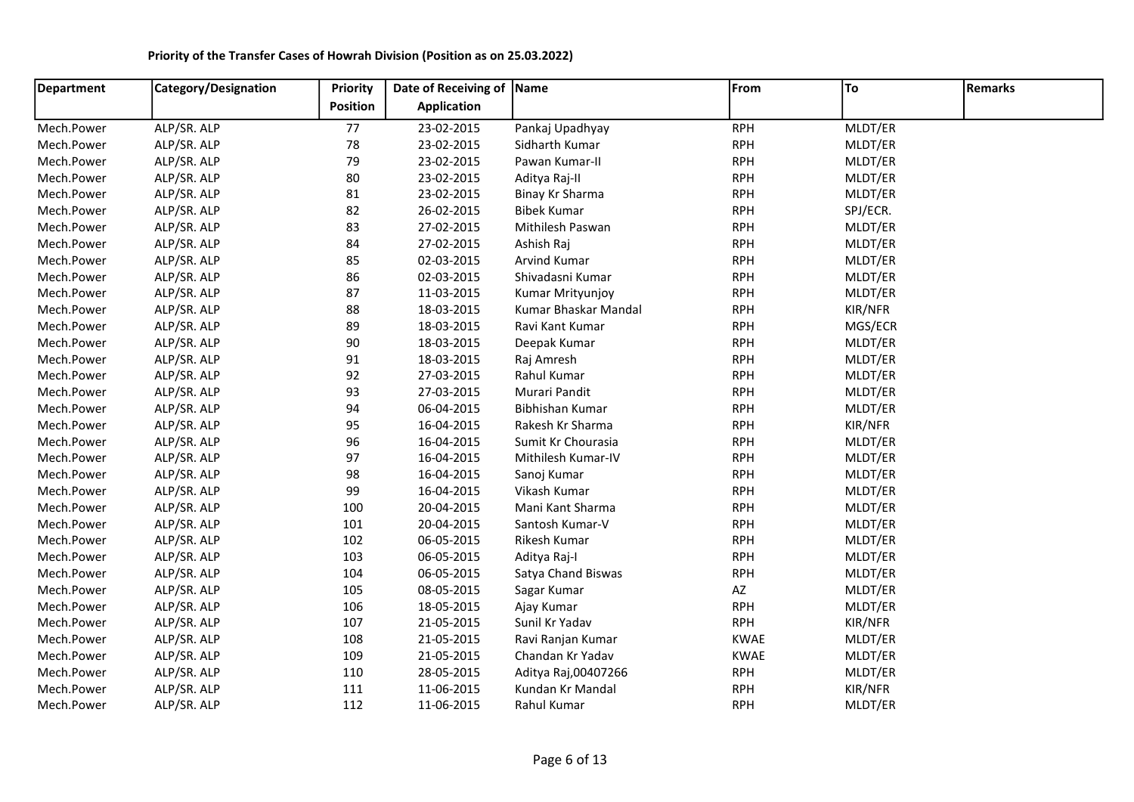| <b>Department</b> | Category/Designation | Priority        | Date of Receiving of Name |                      | From        | To       | <b>Remarks</b> |
|-------------------|----------------------|-----------------|---------------------------|----------------------|-------------|----------|----------------|
|                   |                      | <b>Position</b> | <b>Application</b>        |                      |             |          |                |
| Mech.Power        | ALP/SR. ALP          | 77              | 23-02-2015                | Pankaj Upadhyay      | <b>RPH</b>  | MLDT/ER  |                |
| Mech.Power        | ALP/SR. ALP          | 78              | 23-02-2015                | Sidharth Kumar       | <b>RPH</b>  | MLDT/ER  |                |
| Mech.Power        | ALP/SR. ALP          | 79              | 23-02-2015                | Pawan Kumar-II       | <b>RPH</b>  | MLDT/ER  |                |
| Mech.Power        | ALP/SR. ALP          | 80              | 23-02-2015                | Aditya Raj-II        | <b>RPH</b>  | MLDT/ER  |                |
| Mech.Power        | ALP/SR. ALP          | 81              | 23-02-2015                | Binay Kr Sharma      | <b>RPH</b>  | MLDT/ER  |                |
| Mech.Power        | ALP/SR. ALP          | 82              | 26-02-2015                | <b>Bibek Kumar</b>   | <b>RPH</b>  | SPJ/ECR. |                |
| Mech.Power        | ALP/SR. ALP          | 83              | 27-02-2015                | Mithilesh Paswan     | <b>RPH</b>  | MLDT/ER  |                |
| Mech.Power        | ALP/SR. ALP          | 84              | 27-02-2015                | Ashish Raj           | <b>RPH</b>  | MLDT/ER  |                |
| Mech.Power        | ALP/SR. ALP          | 85              | 02-03-2015                | Arvind Kumar         | <b>RPH</b>  | MLDT/ER  |                |
| Mech.Power        | ALP/SR. ALP          | 86              | 02-03-2015                | Shivadasni Kumar     | <b>RPH</b>  | MLDT/ER  |                |
| Mech.Power        | ALP/SR. ALP          | 87              | 11-03-2015                | Kumar Mrityunjoy     | <b>RPH</b>  | MLDT/ER  |                |
| Mech.Power        | ALP/SR. ALP          | 88              | 18-03-2015                | Kumar Bhaskar Mandal | <b>RPH</b>  | KIR/NFR  |                |
| Mech.Power        | ALP/SR. ALP          | 89              | 18-03-2015                | Ravi Kant Kumar      | <b>RPH</b>  | MGS/ECR  |                |
| Mech.Power        | ALP/SR. ALP          | 90              | 18-03-2015                | Deepak Kumar         | <b>RPH</b>  | MLDT/ER  |                |
| Mech.Power        | ALP/SR. ALP          | 91              | 18-03-2015                | Raj Amresh           | <b>RPH</b>  | MLDT/ER  |                |
| Mech.Power        | ALP/SR. ALP          | 92              | 27-03-2015                | Rahul Kumar          | <b>RPH</b>  | MLDT/ER  |                |
| Mech.Power        | ALP/SR. ALP          | 93              | 27-03-2015                | Murari Pandit        | <b>RPH</b>  | MLDT/ER  |                |
| Mech.Power        | ALP/SR. ALP          | 94              | 06-04-2015                | Bibhishan Kumar      | <b>RPH</b>  | MLDT/ER  |                |
| Mech.Power        | ALP/SR. ALP          | 95              | 16-04-2015                | Rakesh Kr Sharma     | <b>RPH</b>  | KIR/NFR  |                |
| Mech.Power        | ALP/SR. ALP          | 96              | 16-04-2015                | Sumit Kr Chourasia   | <b>RPH</b>  | MLDT/ER  |                |
| Mech.Power        | ALP/SR. ALP          | 97              | 16-04-2015                | Mithilesh Kumar-IV   | <b>RPH</b>  | MLDT/ER  |                |
| Mech.Power        | ALP/SR. ALP          | 98              | 16-04-2015                | Sanoj Kumar          | <b>RPH</b>  | MLDT/ER  |                |
| Mech.Power        | ALP/SR. ALP          | 99              | 16-04-2015                | Vikash Kumar         | <b>RPH</b>  | MLDT/ER  |                |
| Mech.Power        | ALP/SR. ALP          | 100             | 20-04-2015                | Mani Kant Sharma     | <b>RPH</b>  | MLDT/ER  |                |
| Mech.Power        | ALP/SR. ALP          | 101             | 20-04-2015                | Santosh Kumar-V      | <b>RPH</b>  | MLDT/ER  |                |
| Mech.Power        | ALP/SR. ALP          | 102             | 06-05-2015                | Rikesh Kumar         | <b>RPH</b>  | MLDT/ER  |                |
| Mech.Power        | ALP/SR. ALP          | 103             | 06-05-2015                | Aditya Raj-I         | <b>RPH</b>  | MLDT/ER  |                |
| Mech.Power        | ALP/SR. ALP          | 104             | 06-05-2015                | Satya Chand Biswas   | <b>RPH</b>  | MLDT/ER  |                |
| Mech.Power        | ALP/SR. ALP          | 105             | 08-05-2015                | Sagar Kumar          | AZ          | MLDT/ER  |                |
| Mech.Power        | ALP/SR. ALP          | 106             | 18-05-2015                | Ajay Kumar           | <b>RPH</b>  | MLDT/ER  |                |
| Mech.Power        | ALP/SR. ALP          | 107             | 21-05-2015                | Sunil Kr Yadav       | <b>RPH</b>  | KIR/NFR  |                |
| Mech.Power        | ALP/SR. ALP          | 108             | 21-05-2015                | Ravi Ranjan Kumar    | <b>KWAE</b> | MLDT/ER  |                |
| Mech.Power        | ALP/SR. ALP          | 109             | 21-05-2015                | Chandan Kr Yadav     | <b>KWAE</b> | MLDT/ER  |                |
| Mech.Power        | ALP/SR. ALP          | 110             | 28-05-2015                | Aditya Raj,00407266  | <b>RPH</b>  | MLDT/ER  |                |
| Mech.Power        | ALP/SR. ALP          | 111             | 11-06-2015                | Kundan Kr Mandal     | <b>RPH</b>  | KIR/NFR  |                |
| Mech.Power        | ALP/SR. ALP          | 112             | 11-06-2015                | Rahul Kumar          | <b>RPH</b>  | MLDT/ER  |                |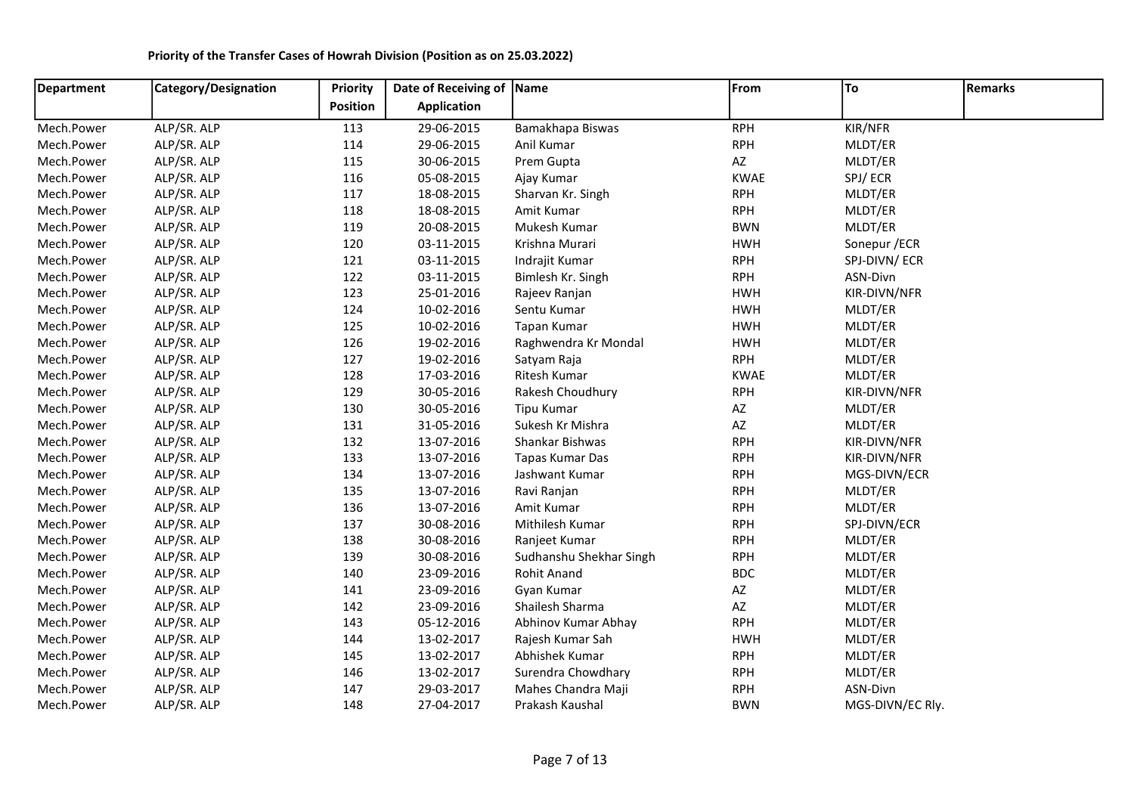| <b>Department</b> | <b>Category/Designation</b> | Priority        | Date of Receiving of Name |                         | From                   | To               | <b>Remarks</b> |
|-------------------|-----------------------------|-----------------|---------------------------|-------------------------|------------------------|------------------|----------------|
|                   |                             | <b>Position</b> | <b>Application</b>        |                         |                        |                  |                |
| Mech.Power        | ALP/SR. ALP                 | 113             | 29-06-2015                | Bamakhapa Biswas        | <b>RPH</b>             | KIR/NFR          |                |
| Mech.Power        | ALP/SR. ALP                 | 114             | 29-06-2015                | Anil Kumar              | <b>RPH</b>             | MLDT/ER          |                |
| Mech.Power        | ALP/SR. ALP                 | 115             | 30-06-2015                | Prem Gupta              | AZ                     | MLDT/ER          |                |
| Mech.Power        | ALP/SR. ALP                 | 116             | 05-08-2015                | Ajay Kumar              | <b>KWAE</b>            | SPJ/ECR          |                |
| Mech.Power        | ALP/SR. ALP                 | 117             | 18-08-2015                | Sharvan Kr. Singh       | <b>RPH</b>             | MLDT/ER          |                |
| Mech.Power        | ALP/SR. ALP                 | 118             | 18-08-2015                | Amit Kumar              | <b>RPH</b>             | MLDT/ER          |                |
| Mech.Power        | ALP/SR. ALP                 | 119             | 20-08-2015                | Mukesh Kumar            | <b>BWN</b>             | MLDT/ER          |                |
| Mech.Power        | ALP/SR. ALP                 | 120             | 03-11-2015                | Krishna Murari          | <b>HWH</b>             | Sonepur / ECR    |                |
| Mech.Power        | ALP/SR. ALP                 | 121             | 03-11-2015                | Indrajit Kumar          | <b>RPH</b>             | SPJ-DIVN/ECR     |                |
| Mech.Power        | ALP/SR. ALP                 | 122             | 03-11-2015                | Bimlesh Kr. Singh       | <b>RPH</b>             | ASN-Divn         |                |
| Mech.Power        | ALP/SR. ALP                 | 123             | 25-01-2016                | Rajeev Ranjan           | <b>HWH</b>             | KIR-DIVN/NFR     |                |
| Mech.Power        | ALP/SR. ALP                 | 124             | 10-02-2016                | Sentu Kumar             | <b>HWH</b>             | MLDT/ER          |                |
| Mech.Power        | ALP/SR. ALP                 | 125             | 10-02-2016                | Tapan Kumar             | <b>HWH</b>             | MLDT/ER          |                |
| Mech.Power        | ALP/SR. ALP                 | 126             | 19-02-2016                | Raghwendra Kr Mondal    | <b>HWH</b>             | MLDT/ER          |                |
| Mech.Power        | ALP/SR. ALP                 | 127             | 19-02-2016                | Satyam Raja             | <b>RPH</b>             | MLDT/ER          |                |
| Mech.Power        | ALP/SR. ALP                 | 128             | 17-03-2016                | Ritesh Kumar            | <b>KWAE</b>            | MLDT/ER          |                |
| Mech.Power        | ALP/SR. ALP                 | 129             | 30-05-2016                | Rakesh Choudhury        | <b>RPH</b>             | KIR-DIVN/NFR     |                |
| Mech.Power        | ALP/SR. ALP                 | 130             | 30-05-2016                | Tipu Kumar              | AZ                     | MLDT/ER          |                |
| Mech.Power        | ALP/SR. ALP                 | 131             | 31-05-2016                | Sukesh Kr Mishra        | AZ                     | MLDT/ER          |                |
| Mech.Power        | ALP/SR. ALP                 | 132             | 13-07-2016                | Shankar Bishwas         | <b>RPH</b>             | KIR-DIVN/NFR     |                |
| Mech.Power        | ALP/SR. ALP                 | 133             | 13-07-2016                | Tapas Kumar Das         | <b>RPH</b>             | KIR-DIVN/NFR     |                |
| Mech.Power        | ALP/SR. ALP                 | 134             | 13-07-2016                | Jashwant Kumar          | <b>RPH</b>             | MGS-DIVN/ECR     |                |
| Mech.Power        | ALP/SR. ALP                 | 135             | 13-07-2016                | Ravi Ranjan             | <b>RPH</b>             | MLDT/ER          |                |
| Mech.Power        | ALP/SR. ALP                 | 136             | 13-07-2016                | Amit Kumar              | <b>RPH</b>             | MLDT/ER          |                |
| Mech.Power        | ALP/SR. ALP                 | 137             | 30-08-2016                | Mithilesh Kumar         | <b>RPH</b>             | SPJ-DIVN/ECR     |                |
| Mech.Power        | ALP/SR. ALP                 | 138             | 30-08-2016                | Ranjeet Kumar           | <b>RPH</b>             | MLDT/ER          |                |
| Mech.Power        | ALP/SR. ALP                 | 139             | 30-08-2016                | Sudhanshu Shekhar Singh | <b>RPH</b>             | MLDT/ER          |                |
| Mech.Power        | ALP/SR. ALP                 | 140             | 23-09-2016                | <b>Rohit Anand</b>      | <b>BDC</b>             | MLDT/ER          |                |
| Mech.Power        | ALP/SR. ALP                 | 141             | 23-09-2016                | Gyan Kumar              | AZ                     | MLDT/ER          |                |
| Mech.Power        | ALP/SR. ALP                 | 142             | 23-09-2016                | Shailesh Sharma         | $\mathsf{A}\mathsf{Z}$ | MLDT/ER          |                |
| Mech.Power        | ALP/SR. ALP                 | 143             | 05-12-2016                | Abhinov Kumar Abhay     | <b>RPH</b>             | MLDT/ER          |                |
| Mech.Power        | ALP/SR. ALP                 | 144             | 13-02-2017                | Rajesh Kumar Sah        | <b>HWH</b>             | MLDT/ER          |                |
| Mech.Power        | ALP/SR. ALP                 | 145             | 13-02-2017                | Abhishek Kumar          | <b>RPH</b>             | MLDT/ER          |                |
| Mech.Power        | ALP/SR. ALP                 | 146             | 13-02-2017                | Surendra Chowdhary      | <b>RPH</b>             | MLDT/ER          |                |
| Mech.Power        | ALP/SR. ALP                 | 147             | 29-03-2017                | Mahes Chandra Maji      | <b>RPH</b>             | ASN-Divn         |                |
| Mech.Power        | ALP/SR. ALP                 | 148             | 27-04-2017                | Prakash Kaushal         | <b>BWN</b>             | MGS-DIVN/EC Rly. |                |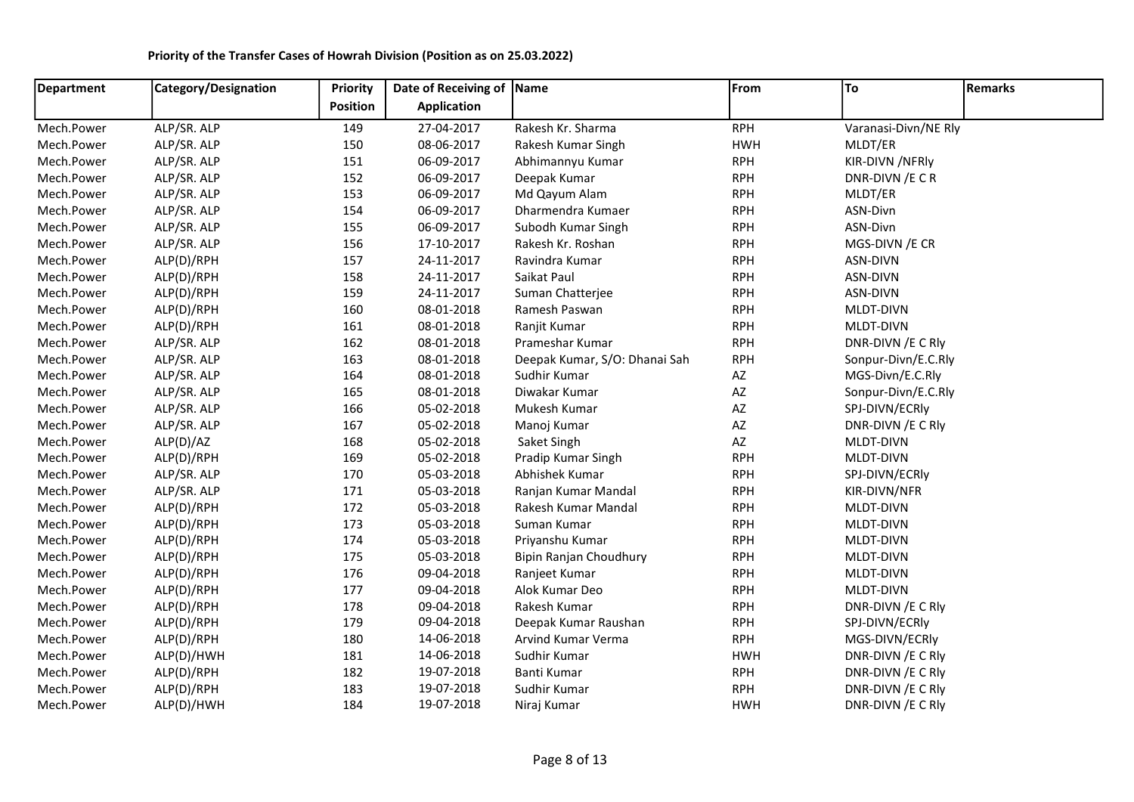| <b>Department</b> | Category/Designation | Priority | Date of Receiving of Name |                               | From       | To                   | <b>Remarks</b> |
|-------------------|----------------------|----------|---------------------------|-------------------------------|------------|----------------------|----------------|
|                   |                      | Position | <b>Application</b>        |                               |            |                      |                |
| Mech.Power        | ALP/SR. ALP          | 149      | 27-04-2017                | Rakesh Kr. Sharma             | <b>RPH</b> | Varanasi-Divn/NE Rly |                |
| Mech.Power        | ALP/SR. ALP          | 150      | 08-06-2017                | Rakesh Kumar Singh            | <b>HWH</b> | MLDT/ER              |                |
| Mech.Power        | ALP/SR. ALP          | 151      | 06-09-2017                | Abhimannyu Kumar              | <b>RPH</b> | KIR-DIVN /NFRIy      |                |
| Mech.Power        | ALP/SR. ALP          | 152      | 06-09-2017                | Deepak Kumar                  | <b>RPH</b> | DNR-DIVN / ECR       |                |
| Mech.Power        | ALP/SR. ALP          | 153      | 06-09-2017                | Md Qayum Alam                 | <b>RPH</b> | MLDT/ER              |                |
| Mech.Power        | ALP/SR. ALP          | 154      | 06-09-2017                | Dharmendra Kumaer             | <b>RPH</b> | ASN-Divn             |                |
| Mech.Power        | ALP/SR. ALP          | 155      | 06-09-2017                | Subodh Kumar Singh            | <b>RPH</b> | ASN-Divn             |                |
| Mech.Power        | ALP/SR. ALP          | 156      | 17-10-2017                | Rakesh Kr. Roshan             | <b>RPH</b> | MGS-DIVN / ECR       |                |
| Mech.Power        | ALP(D)/RPH           | 157      | 24-11-2017                | Ravindra Kumar                | <b>RPH</b> | ASN-DIVN             |                |
| Mech.Power        | ALP(D)/RPH           | 158      | 24-11-2017                | Saikat Paul                   | <b>RPH</b> | ASN-DIVN             |                |
| Mech.Power        | ALP(D)/RPH           | 159      | 24-11-2017                | Suman Chatterjee              | <b>RPH</b> | ASN-DIVN             |                |
| Mech.Power        | ALP(D)/RPH           | 160      | 08-01-2018                | Ramesh Paswan                 | <b>RPH</b> | MLDT-DIVN            |                |
| Mech.Power        | ALP(D)/RPH           | 161      | 08-01-2018                | Ranjit Kumar                  | <b>RPH</b> | MLDT-DIVN            |                |
| Mech.Power        | ALP/SR. ALP          | 162      | 08-01-2018                | Prameshar Kumar               | <b>RPH</b> | DNR-DIVN / ECRIV     |                |
| Mech.Power        | ALP/SR. ALP          | 163      | 08-01-2018                | Deepak Kumar, S/O: Dhanai Sah | <b>RPH</b> | Sonpur-Divn/E.C.Rly  |                |
| Mech.Power        | ALP/SR. ALP          | 164      | 08-01-2018                | Sudhir Kumar                  | AZ         | MGS-Divn/E.C.Rly     |                |
| Mech.Power        | ALP/SR. ALP          | 165      | 08-01-2018                | Diwakar Kumar                 | AZ         | Sonpur-Divn/E.C.Rly  |                |
| Mech.Power        | ALP/SR. ALP          | 166      | 05-02-2018                | Mukesh Kumar                  | AZ         | SPJ-DIVN/ECRIy       |                |
| Mech.Power        | ALP/SR. ALP          | 167      | 05-02-2018                | Manoj Kumar                   | AZ         | DNR-DIVN / ECRIV     |                |
| Mech.Power        | ALP(D)/AZ            | 168      | 05-02-2018                | Saket Singh                   | AZ         | MLDT-DIVN            |                |
| Mech.Power        | ALP(D)/RPH           | 169      | 05-02-2018                | Pradip Kumar Singh            | <b>RPH</b> | MLDT-DIVN            |                |
| Mech.Power        | ALP/SR. ALP          | 170      | 05-03-2018                | Abhishek Kumar                | <b>RPH</b> | SPJ-DIVN/ECRIy       |                |
| Mech.Power        | ALP/SR. ALP          | 171      | 05-03-2018                | Ranjan Kumar Mandal           | <b>RPH</b> | KIR-DIVN/NFR         |                |
| Mech.Power        | ALP(D)/RPH           | 172      | 05-03-2018                | Rakesh Kumar Mandal           | <b>RPH</b> | MLDT-DIVN            |                |
| Mech.Power        | ALP(D)/RPH           | 173      | 05-03-2018                | Suman Kumar                   | <b>RPH</b> | MLDT-DIVN            |                |
| Mech.Power        | ALP(D)/RPH           | 174      | 05-03-2018                | Priyanshu Kumar               | <b>RPH</b> | MLDT-DIVN            |                |
| Mech.Power        | ALP(D)/RPH           | 175      | 05-03-2018                | Bipin Ranjan Choudhury        | <b>RPH</b> | MLDT-DIVN            |                |
| Mech.Power        | ALP(D)/RPH           | 176      | 09-04-2018                | Ranjeet Kumar                 | <b>RPH</b> | MLDT-DIVN            |                |
| Mech.Power        | ALP(D)/RPH           | 177      | 09-04-2018                | Alok Kumar Deo                | <b>RPH</b> | MLDT-DIVN            |                |
| Mech.Power        | ALP(D)/RPH           | 178      | 09-04-2018                | Rakesh Kumar                  | <b>RPH</b> | DNR-DIVN / ECRIV     |                |
| Mech.Power        | ALP(D)/RPH           | 179      | 09-04-2018                | Deepak Kumar Raushan          | <b>RPH</b> | SPJ-DIVN/ECRly       |                |
| Mech.Power        | ALP(D)/RPH           | 180      | 14-06-2018                | Arvind Kumar Verma            | <b>RPH</b> | MGS-DIVN/ECRIy       |                |
| Mech.Power        | ALP(D)/HWH           | 181      | 14-06-2018                | Sudhir Kumar                  | <b>HWH</b> | DNR-DIVN / ECRIV     |                |
| Mech.Power        | ALP(D)/RPH           | 182      | 19-07-2018                | Banti Kumar                   | <b>RPH</b> | DNR-DIVN / ECRIV     |                |
| Mech.Power        | ALP(D)/RPH           | 183      | 19-07-2018                | Sudhir Kumar                  | <b>RPH</b> | DNR-DIVN / ECRIV     |                |
| Mech.Power        | ALP(D)/HWH           | 184      | 19-07-2018                | Niraj Kumar                   | <b>HWH</b> | DNR-DIVN / ECRIV     |                |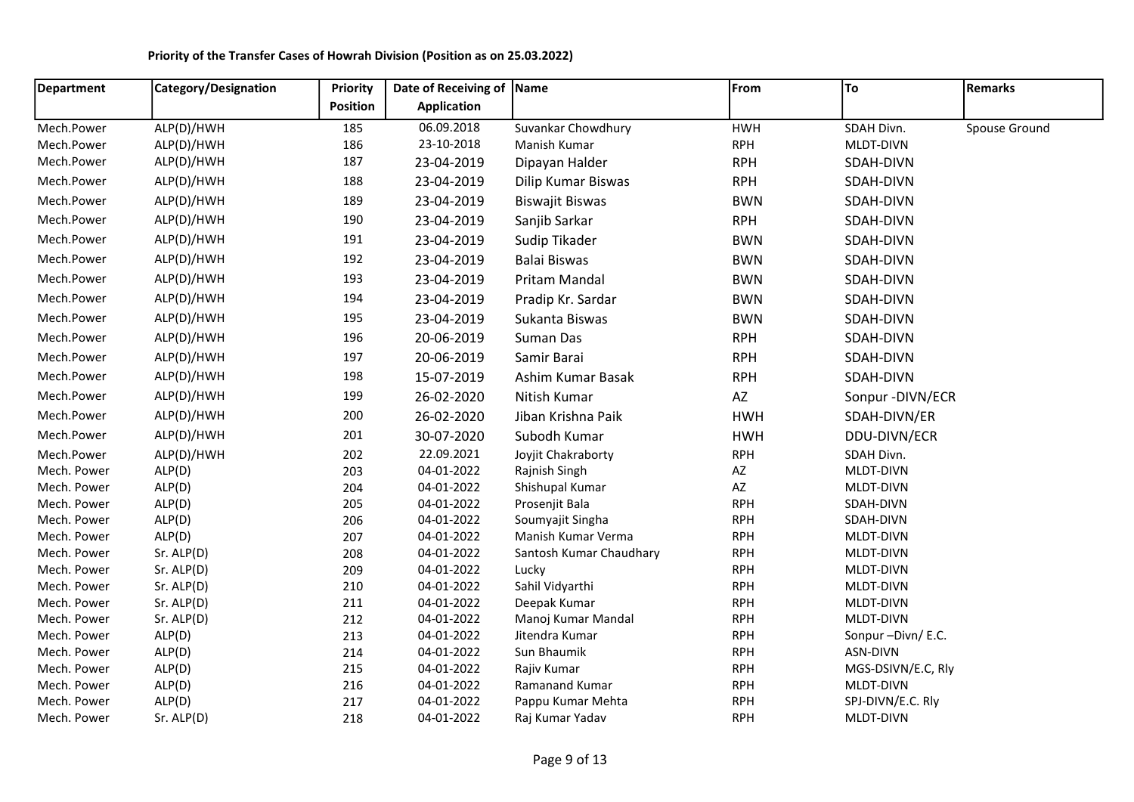| Department  | Category/Designation | <b>Priority</b> | Date of Receiving of Name |                         | From       | To                 | Remarks       |
|-------------|----------------------|-----------------|---------------------------|-------------------------|------------|--------------------|---------------|
|             |                      | <b>Position</b> | <b>Application</b>        |                         |            |                    |               |
| Mech.Power  | ALP(D)/HWH           | 185             | 06.09.2018                | Suvankar Chowdhury      | <b>HWH</b> | SDAH Divn.         | Spouse Ground |
| Mech.Power  | ALP(D)/HWH           | 186             | 23-10-2018                | Manish Kumar            | <b>RPH</b> | MLDT-DIVN          |               |
| Mech.Power  | ALP(D)/HWH           | 187             | 23-04-2019                | Dipayan Halder          | <b>RPH</b> | SDAH-DIVN          |               |
| Mech.Power  | ALP(D)/HWH           | 188             | 23-04-2019                | Dilip Kumar Biswas      | <b>RPH</b> | SDAH-DIVN          |               |
| Mech.Power  | ALP(D)/HWH           | 189             | 23-04-2019                | <b>Biswajit Biswas</b>  | <b>BWN</b> | SDAH-DIVN          |               |
| Mech.Power  | ALP(D)/HWH           | 190             | 23-04-2019                | Sanjib Sarkar           | <b>RPH</b> | SDAH-DIVN          |               |
| Mech.Power  | ALP(D)/HWH           | 191             | 23-04-2019                | Sudip Tikader           | <b>BWN</b> | SDAH-DIVN          |               |
| Mech.Power  | ALP(D)/HWH           | 192             | 23-04-2019                | <b>Balai Biswas</b>     | <b>BWN</b> | SDAH-DIVN          |               |
| Mech.Power  | ALP(D)/HWH           | 193             | 23-04-2019                | Pritam Mandal           | <b>BWN</b> | SDAH-DIVN          |               |
| Mech.Power  | ALP(D)/HWH           | 194             | 23-04-2019                | Pradip Kr. Sardar       | <b>BWN</b> | SDAH-DIVN          |               |
| Mech.Power  | ALP(D)/HWH           | 195             | 23-04-2019                | Sukanta Biswas          | <b>BWN</b> | SDAH-DIVN          |               |
| Mech.Power  | ALP(D)/HWH           | 196             | 20-06-2019                | Suman Das               | <b>RPH</b> | SDAH-DIVN          |               |
| Mech.Power  | ALP(D)/HWH           | 197             | 20-06-2019                | Samir Barai             | <b>RPH</b> | SDAH-DIVN          |               |
| Mech.Power  | ALP(D)/HWH           | 198             | 15-07-2019                | Ashim Kumar Basak       | <b>RPH</b> | SDAH-DIVN          |               |
| Mech.Power  | ALP(D)/HWH           | 199             | 26-02-2020                | Nitish Kumar            | AZ         | Sonpur - DIVN/ECR  |               |
| Mech.Power  | ALP(D)/HWH           | 200             | 26-02-2020                | Jiban Krishna Paik      | <b>HWH</b> | SDAH-DIVN/ER       |               |
| Mech.Power  | ALP(D)/HWH           | 201             | 30-07-2020                | Subodh Kumar            | <b>HWH</b> | DDU-DIVN/ECR       |               |
| Mech.Power  | ALP(D)/HWH           | 202             | 22.09.2021                | Joyjit Chakraborty      | <b>RPH</b> | SDAH Divn.         |               |
| Mech. Power | ALP(D)               | 203             | 04-01-2022                | Rajnish Singh           | AZ         | MLDT-DIVN          |               |
| Mech. Power | ALP(D)               | 204             | 04-01-2022                | Shishupal Kumar         | AZ         | MLDT-DIVN          |               |
| Mech. Power | ALP(D)               | 205             | 04-01-2022                | Prosenjit Bala          | <b>RPH</b> | SDAH-DIVN          |               |
| Mech. Power | ALP(D)               | 206             | 04-01-2022                | Soumyajit Singha        | <b>RPH</b> | SDAH-DIVN          |               |
| Mech. Power | ALP(D)               | 207             | 04-01-2022                | Manish Kumar Verma      | <b>RPH</b> | MLDT-DIVN          |               |
| Mech. Power | Sr. ALP(D)           | 208             | 04-01-2022                | Santosh Kumar Chaudhary | <b>RPH</b> | MLDT-DIVN          |               |
| Mech. Power | Sr. ALP(D)           | 209             | 04-01-2022                | Lucky                   | <b>RPH</b> | MLDT-DIVN          |               |
| Mech. Power | Sr. ALP(D)           | 210             | 04-01-2022                | Sahil Vidyarthi         | <b>RPH</b> | MLDT-DIVN          |               |
| Mech. Power | Sr. ALP(D)           | 211             | 04-01-2022                | Deepak Kumar            | <b>RPH</b> | MLDT-DIVN          |               |
| Mech. Power | Sr. ALP(D)           | 212             | 04-01-2022                | Manoj Kumar Mandal      | <b>RPH</b> | MLDT-DIVN          |               |
| Mech. Power | ALP(D)               | 213             | 04-01-2022                | Jitendra Kumar          | <b>RPH</b> | Sonpur-Divn/E.C.   |               |
| Mech. Power | ALP(D)               | 214             | 04-01-2022                | Sun Bhaumik             | <b>RPH</b> | ASN-DIVN           |               |
| Mech. Power | ALP(D)               | 215             | 04-01-2022                | Rajiv Kumar             | <b>RPH</b> | MGS-DSIVN/E.C, Rly |               |
| Mech. Power | ALP(D)               | 216             | 04-01-2022                | Ramanand Kumar          | <b>RPH</b> | MLDT-DIVN          |               |
| Mech. Power | ALP(D)               | 217             | 04-01-2022                | Pappu Kumar Mehta       | <b>RPH</b> | SPJ-DIVN/E.C. Rly  |               |
| Mech. Power | Sr. ALP(D)           | 218             | 04-01-2022                | Raj Kumar Yadav         | <b>RPH</b> | MLDT-DIVN          |               |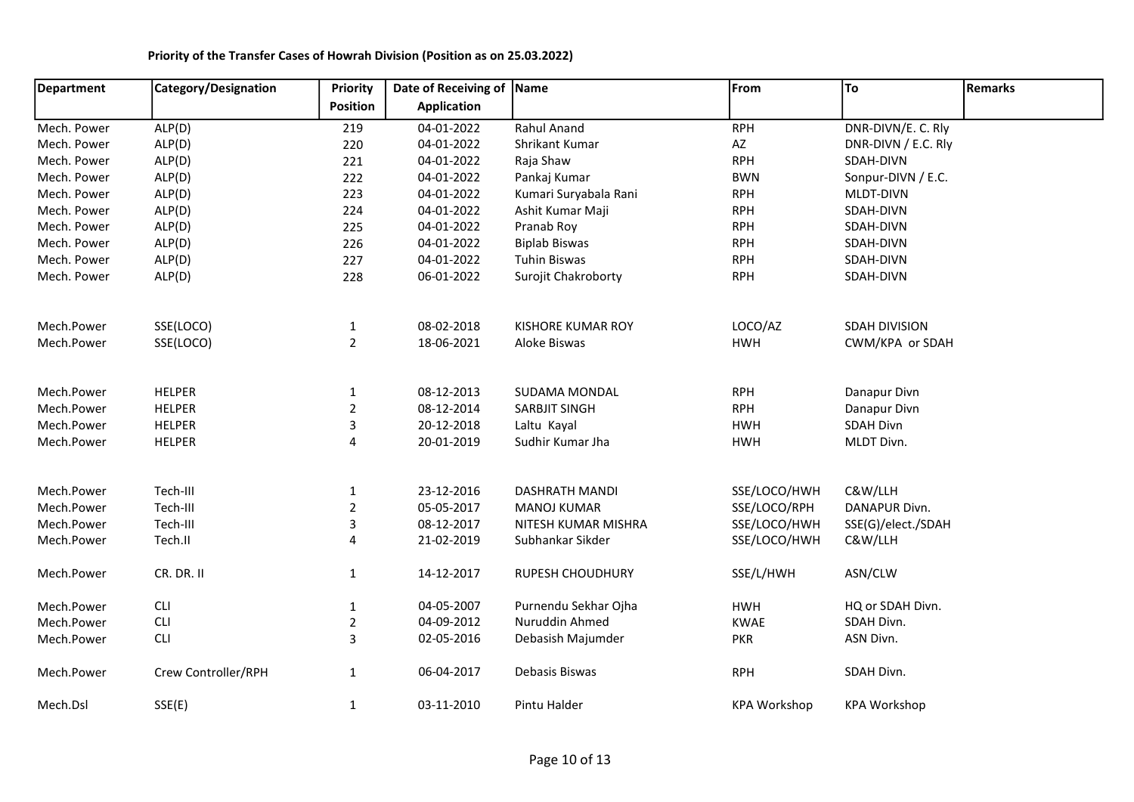| Department  | Category/Designation | Priority        | Date of Receiving of Name |                          | From                | To                  | <b>Remarks</b> |
|-------------|----------------------|-----------------|---------------------------|--------------------------|---------------------|---------------------|----------------|
|             |                      | <b>Position</b> | <b>Application</b>        |                          |                     |                     |                |
| Mech. Power | ALP(D)               | 219             | 04-01-2022                | Rahul Anand              | <b>RPH</b>          | DNR-DIVN/E. C. Rly  |                |
| Mech. Power | ALP(D)               | 220             | 04-01-2022                | Shrikant Kumar           | AZ                  | DNR-DIVN / E.C. Rly |                |
| Mech. Power | ALP(D)               | 221             | 04-01-2022                | Raja Shaw                | <b>RPH</b>          | SDAH-DIVN           |                |
| Mech. Power | ALP(D)               | 222             | 04-01-2022                | Pankaj Kumar             | <b>BWN</b>          | Sonpur-DIVN / E.C.  |                |
| Mech. Power | ALP(D)               | 223             | 04-01-2022                | Kumari Suryabala Rani    | <b>RPH</b>          | MLDT-DIVN           |                |
| Mech. Power | ALP(D)               | 224             | 04-01-2022                | Ashit Kumar Maji         | <b>RPH</b>          | SDAH-DIVN           |                |
| Mech. Power | ALP(D)               | 225             | 04-01-2022                | Pranab Roy               | <b>RPH</b>          | SDAH-DIVN           |                |
| Mech. Power | ALP(D)               | 226             | 04-01-2022                | <b>Biplab Biswas</b>     | <b>RPH</b>          | SDAH-DIVN           |                |
| Mech. Power | ALP(D)               | 227             | 04-01-2022                | <b>Tuhin Biswas</b>      | <b>RPH</b>          | SDAH-DIVN           |                |
| Mech. Power | ALP(D)               | 228             | 06-01-2022                | Surojit Chakroborty      | <b>RPH</b>          | SDAH-DIVN           |                |
| Mech.Power  | SSE(LOCO)            | $\mathbf 1$     | 08-02-2018                | <b>KISHORE KUMAR ROY</b> | LOCO/AZ             | SDAH DIVISION       |                |
| Mech.Power  | SSE(LOCO)            | $\overline{2}$  | 18-06-2021                | Aloke Biswas             | <b>HWH</b>          | CWM/KPA or SDAH     |                |
| Mech.Power  | <b>HELPER</b>        | $\mathbf 1$     | 08-12-2013                | SUDAMA MONDAL            | <b>RPH</b>          | Danapur Divn        |                |
| Mech.Power  | <b>HELPER</b>        | $\overline{2}$  | 08-12-2014                | SARBJIT SINGH            | <b>RPH</b>          | Danapur Divn        |                |
| Mech.Power  | <b>HELPER</b>        | 3               | 20-12-2018                | Laltu Kayal              | <b>HWH</b>          | <b>SDAH Divn</b>    |                |
| Mech.Power  | <b>HELPER</b>        | 4               | 20-01-2019                | Sudhir Kumar Jha         | <b>HWH</b>          | MLDT Divn.          |                |
| Mech.Power  | Tech-III             | $1\,$           | 23-12-2016                | <b>DASHRATH MANDI</b>    | SSE/LOCO/HWH        | C&W/LLH             |                |
| Mech.Power  | Tech-III             | $\overline{2}$  | 05-05-2017                | <b>MANOJ KUMAR</b>       | SSE/LOCO/RPH        | DANAPUR Divn.       |                |
| Mech.Power  | Tech-III             | 3               | 08-12-2017                | NITESH KUMAR MISHRA      | SSE/LOCO/HWH        | SSE(G)/elect./SDAH  |                |
| Mech.Power  | Tech.II              | 4               | 21-02-2019                | Subhankar Sikder         | SSE/LOCO/HWH        | C&W/LLH             |                |
| Mech.Power  | CR. DR. II           | $\mathbf{1}$    | 14-12-2017                | <b>RUPESH CHOUDHURY</b>  | SSE/L/HWH           | ASN/CLW             |                |
| Mech.Power  | <b>CLI</b>           | $\mathbf{1}$    | 04-05-2007                | Purnendu Sekhar Ojha     | <b>HWH</b>          | HQ or SDAH Divn.    |                |
| Mech.Power  | <b>CLI</b>           | $\overline{2}$  | 04-09-2012                | Nuruddin Ahmed           | <b>KWAE</b>         | SDAH Divn.          |                |
| Mech.Power  | <b>CLI</b>           | 3               | 02-05-2016                | Debasish Majumder        | <b>PKR</b>          | ASN Divn.           |                |
| Mech.Power  | Crew Controller/RPH  | $\mathbf{1}$    | 06-04-2017                | Debasis Biswas           | <b>RPH</b>          | SDAH Divn.          |                |
| Mech.Dsl    | SSE(E)               | $\mathbf{1}$    | 03-11-2010                | Pintu Halder             | <b>KPA Workshop</b> | <b>KPA Workshop</b> |                |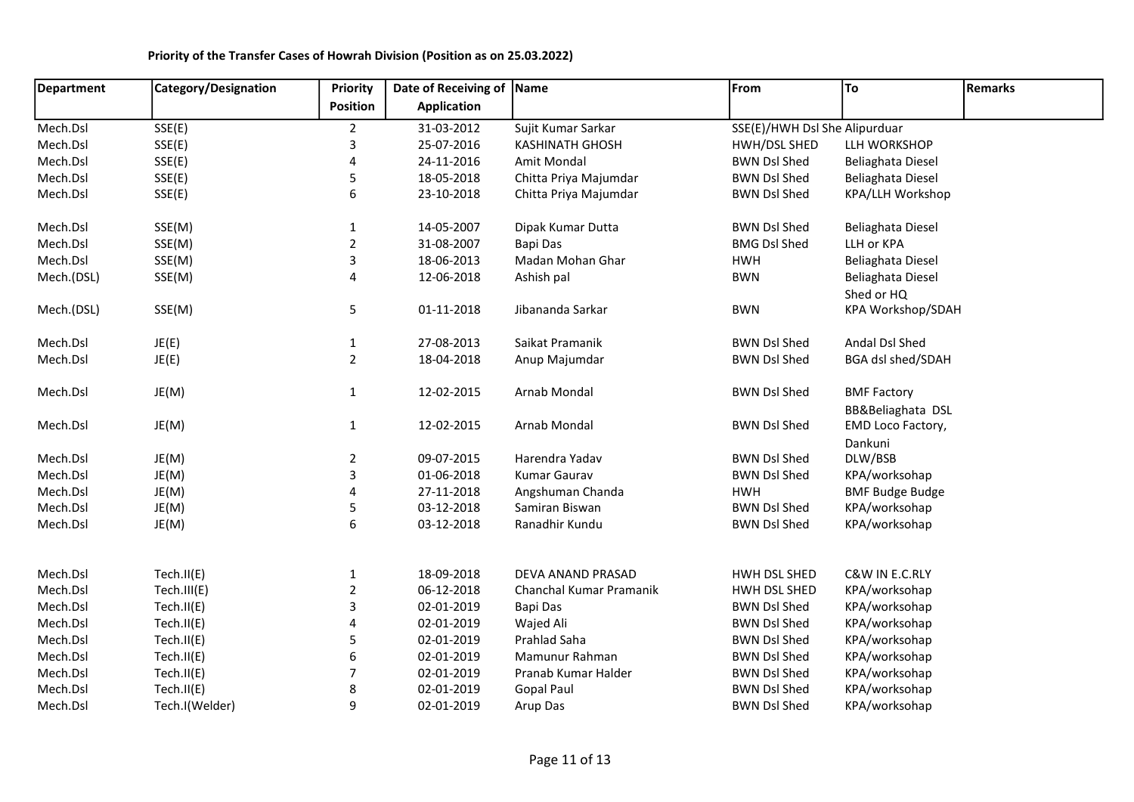## Department | Category/Designation | Priority Position Date of Receiving of Name Application Name **From** To Remarks Mech.Dsl SSE(E) 2 31-03-2012 Sujit Kumar Sarkar SSE(E)/HWH Dsl ShedAlipurduar Mech.Dsl SSE(E) 3 25-07-2016 KASHINATH GHOSH HWH/DSL SHED LLH WORKSHOP Mech.Dsl SSE(E) 4 24-11-2016 Amit Mondal BWN Dsl Shed Beliaghata Diesel Mech.Dsl SSE(E) 5 18-05-2018 Chitta Priya Majumdar BWN Dsl Shed Beliaghata Diesel Mech.Dsl SSE(E) 6 23-10-2018 Chitta Priya Majumdar BWN Dsl Shed KPA/LLH Workshop Mech.Dsl SSE(M) 1 14-05-2007 Dipak Kumar Dutta BWN Dsl Shed Beliaghata Diesel Mech.Dsl SSE(M) 2 31-08-2007 Bapi Das BMG Dsl Shed LLH or KPA Mech.Dsl SSE(M) 3 18-06-2013 Madan Mohan Ghar HWH Beliaghata Diesel Mech.(DSL) SSE(M) 68 12-06-2018 Ashish pal BWN Beliaghata Diesel Shed or HQ Mech.(DSL) SSE(M) 5 01-11-2018 Jibananda Sarkar BWN KPA Workshop/SDAH Mech.Dsl JE(E) 1 27-08-2013 Saikat Pramanik BWN Dsl Shed Andal Dsl Shed Mech.Dsl JE(E) 2 18-04-2018 Anup Majumdar BWN Dsl Shed BGA dsl shed/SDAH Mech.Dsl JE(M) 1 12-02-2015 Arnab Mondal BWN Dsl Shed BMF Factory BB&Beliaghata DSL Mech.Dsl JE(M) 1 12-02-2015 Arnab Mondal BWN Dsl Shed EMD Loco Factory, Dankuni Mech.Dsl JE(M) 2 09-07-2015 Harendra Yadav BWN Dsl Shed DLW/BSB Mech.Dsl JE(M) 3 01-06-2018 Kumar Gaurav BWN Dsl Shed KPA/worksohap Mech.Dsl JE(M) 4 27-11-2018 Angshuman Chanda HWH BMF Budge Budge Mech.Dsl JE(M) 5 03-12-2018 Samiran Biswan BWN Dsl Shed KPA/worksohap Mech.Dsl JE(M) 6 03-12-2018 Ranadhir Kundu BWN Dsl Shed KPA/worksohap Mech.Dsl Tech.II(E) 1 18-09-2018 DEVA ANAND PRASAD HWH DSL SHED C&W IN E.C.RLY Mech.Dsl Tech.III(E) 2 06-12-2018 Chanchal Kumar Pramanik HWH DSL SHED KPA/worksohap Mech.Dsl Tech.II(E) 3 02-01-2019 Bapi Das BWN Dsl Shed KPA/worksohap Mech.Dsl Tech.II(E) 4 02-01-2019 Wajed Ali BWN Dsl Shed KPA/worksohap Mech.Dsl Tech.II(E) 5 02-01-2019 Prahlad Saha BWN Dsl Shed KPA/worksohap Mech.Dsl Tech.II(E) 6 02-01-2019 Mamunur Rahman BWN Dsl Shed KPA/worksohap Mech.Dsl Tech.II(E) 7 02-01-2019 Pranab Kumar Halder BWN Dsl Shed KPA/worksohap Mech.Dsl Tech.II(E) 8 02-01-2019 Gopal Paul BWN Dsl Shed KPA/worksohap Mech.Dsl Tech.I(Welder) 9 02-01-2019 Arup Das BWN Dsl Shed KPA/worksohap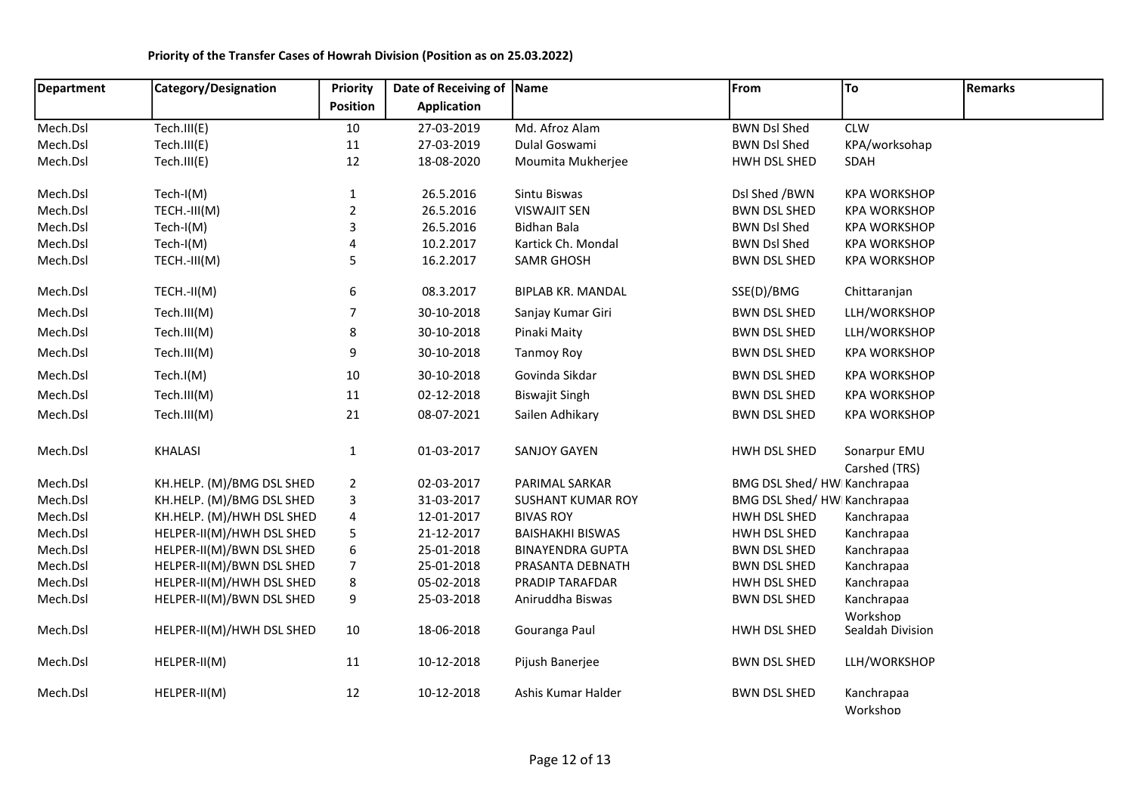| <b>Department</b> | Category/Designation      | <b>Priority</b>           | Date of Receiving of Name |                          | From                       | To                     | <b>Remarks</b> |
|-------------------|---------------------------|---------------------------|---------------------------|--------------------------|----------------------------|------------------------|----------------|
|                   |                           | Position                  | <b>Application</b>        |                          |                            |                        |                |
| Mech.Dsl          | Tech.III(E)               | 10                        | 27-03-2019                | Md. Afroz Alam           | <b>BWN Dsl Shed</b>        | <b>CLW</b>             |                |
| Mech.Dsl          | Tech.III(E)               | 11                        | 27-03-2019                | Dulal Goswami            | <b>BWN Dsl Shed</b>        | KPA/worksohap          |                |
| Mech.Dsl          | Tech.III(E)               | 12                        | 18-08-2020                | Moumita Mukherjee        | HWH DSL SHED               | SDAH                   |                |
| Mech.Dsl          | Tech-I(M)                 | $\mathbf{1}$              | 26.5.2016                 | Sintu Biswas             | Dsl Shed /BWN              | <b>KPA WORKSHOP</b>    |                |
| Mech.Dsl          | TECH.-III(M)              | $\mathbf 2$               | 26.5.2016                 | <b>VISWAJIT SEN</b>      | <b>BWN DSL SHED</b>        | <b>KPA WORKSHOP</b>    |                |
| Mech.Dsl          | $Tech-I(M)$               | $\ensuremath{\mathsf{3}}$ | 26.5.2016                 | <b>Bidhan Bala</b>       | <b>BWN Dsl Shed</b>        | <b>KPA WORKSHOP</b>    |                |
| Mech.Dsl          | $Tech-I(M)$               | 4                         | 10.2.2017                 | Kartick Ch. Mondal       | <b>BWN Dsl Shed</b>        | <b>KPA WORKSHOP</b>    |                |
| Mech.Dsl          | TECH.-III(M)              | 5                         | 16.2.2017                 | <b>SAMR GHOSH</b>        | <b>BWN DSL SHED</b>        | <b>KPA WORKSHOP</b>    |                |
| Mech.Dsl          | TECH.-II(M)               | 6                         | 08.3.2017                 | <b>BIPLAB KR. MANDAL</b> | SSE(D)/BMG                 | Chittaranjan           |                |
| Mech.Dsl          | Tech.III(M)               | $\overline{7}$            | 30-10-2018                | Sanjay Kumar Giri        | <b>BWN DSL SHED</b>        | LLH/WORKSHOP           |                |
| Mech.Dsl          | Tech.III(M)               | 8                         | 30-10-2018                | Pinaki Maity             | <b>BWN DSL SHED</b>        | LLH/WORKSHOP           |                |
| Mech.Dsl          | Tech.III(M)               | 9                         | 30-10-2018                | <b>Tanmoy Roy</b>        | <b>BWN DSL SHED</b>        | <b>KPA WORKSHOP</b>    |                |
| Mech.Dsl          | Tech.I(M)                 | $10\,$                    | 30-10-2018                | Govinda Sikdar           | <b>BWN DSL SHED</b>        | <b>KPA WORKSHOP</b>    |                |
| Mech.Dsl          | Tech.III(M)               | $11\,$                    | 02-12-2018                | <b>Biswajit Singh</b>    | <b>BWN DSL SHED</b>        | <b>KPA WORKSHOP</b>    |                |
| Mech.Dsl          | Tech.III(M)               | 21                        | 08-07-2021                | Sailen Adhikary          | <b>BWN DSL SHED</b>        | <b>KPA WORKSHOP</b>    |                |
| Mech.Dsl          | <b>KHALASI</b>            | $\mathbf{1}$              | 01-03-2017                | <b>SANJOY GAYEN</b>      | HWH DSL SHED               | Sonarpur EMU           |                |
|                   |                           |                           |                           |                          |                            | Carshed (TRS)          |                |
| Mech.Dsl          | KH.HELP. (M)/BMG DSL SHED | $\overline{2}$            | 02-03-2017                | PARIMAL SARKAR           | BMG DSL Shed/HW Kanchrapaa |                        |                |
| Mech.Dsl          | KH.HELP. (M)/BMG DSL SHED | 3                         | 31-03-2017                | <b>SUSHANT KUMAR ROY</b> | BMG DSL Shed/HW Kanchrapaa |                        |                |
| Mech.Dsl          | KH.HELP. (M)/HWH DSL SHED | 4                         | 12-01-2017                | <b>BIVAS ROY</b>         | HWH DSL SHED               | Kanchrapaa             |                |
| Mech.Dsl          | HELPER-II(M)/HWH DSL SHED | 5                         | 21-12-2017                | <b>BAISHAKHI BISWAS</b>  | HWH DSL SHED               | Kanchrapaa             |                |
| Mech.Dsl          | HELPER-II(M)/BWN DSL SHED | 6                         | 25-01-2018                | <b>BINAYENDRA GUPTA</b>  | <b>BWN DSL SHED</b>        | Kanchrapaa             |                |
| Mech.Dsl          | HELPER-II(M)/BWN DSL SHED | $\overline{7}$            | 25-01-2018                | PRASANTA DEBNATH         | <b>BWN DSL SHED</b>        | Kanchrapaa             |                |
| Mech.Dsl          | HELPER-II(M)/HWH DSL SHED | 8                         | 05-02-2018                | PRADIP TARAFDAR          | HWH DSL SHED               | Kanchrapaa             |                |
| Mech.Dsl          | HELPER-II(M)/BWN DSL SHED | 9                         | 25-03-2018                | Aniruddha Biswas         | <b>BWN DSL SHED</b>        | Kanchrapaa<br>Workshop |                |
| Mech.Dsl          | HELPER-II(M)/HWH DSL SHED | 10                        | 18-06-2018                | Gouranga Paul            | HWH DSL SHED               | Sealdah Division       |                |
| Mech.Dsl          | HELPER-II(M)              | 11                        | 10-12-2018                | Pijush Banerjee          | <b>BWN DSL SHED</b>        | LLH/WORKSHOP           |                |
| Mech.Dsl          | HELPER-II(M)              | 12                        | 10-12-2018                | Ashis Kumar Halder       | <b>BWN DSL SHED</b>        | Kanchrapaa<br>Workshop |                |